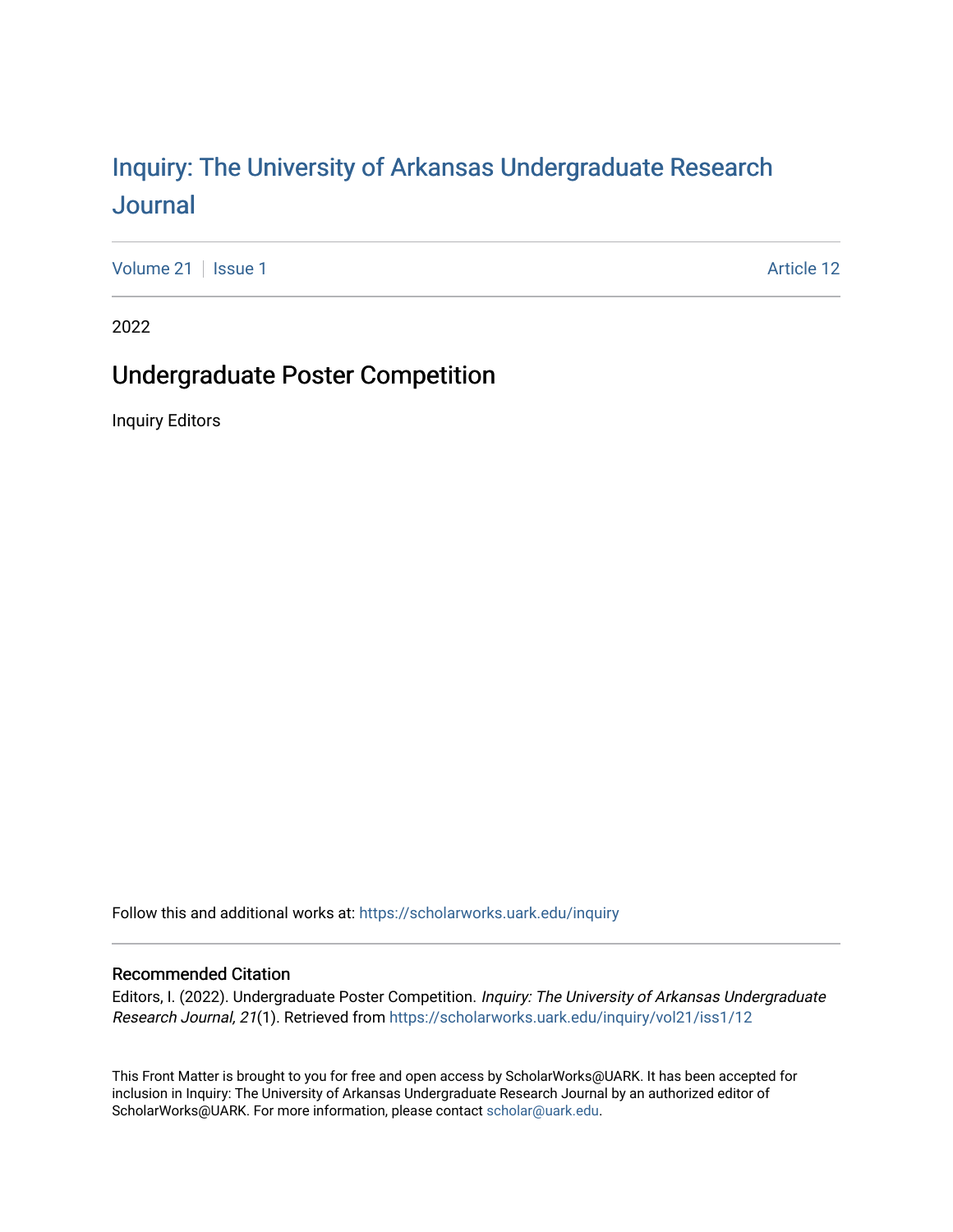# Inquiry: The Univ[ersity of Arkansas Undergraduate Resear](https://scholarworks.uark.edu/inquiry)ch [Journal](https://scholarworks.uark.edu/inquiry)

[Volume 21](https://scholarworks.uark.edu/inquiry/vol21) | [Issue 1](https://scholarworks.uark.edu/inquiry/vol21/iss1) Article 12

2022

## Undergraduate Poster Competition

Inquiry Editors

Follow this and additional works at: [https://scholarworks.uark.edu/inquiry](https://scholarworks.uark.edu/inquiry?utm_source=scholarworks.uark.edu%2Finquiry%2Fvol21%2Fiss1%2F12&utm_medium=PDF&utm_campaign=PDFCoverPages)

#### Recommended Citation

Editors, I. (2022). Undergraduate Poster Competition. Inquiry: The University of Arkansas Undergraduate Research Journal, 21(1). Retrieved from [https://scholarworks.uark.edu/inquiry/vol21/iss1/12](https://scholarworks.uark.edu/inquiry/vol21/iss1/12?utm_source=scholarworks.uark.edu%2Finquiry%2Fvol21%2Fiss1%2F12&utm_medium=PDF&utm_campaign=PDFCoverPages) 

This Front Matter is brought to you for free and open access by ScholarWorks@UARK. It has been accepted for inclusion in Inquiry: The University of Arkansas Undergraduate Research Journal by an authorized editor of ScholarWorks@UARK. For more information, please contact [scholar@uark.edu](mailto:scholar@uark.edu).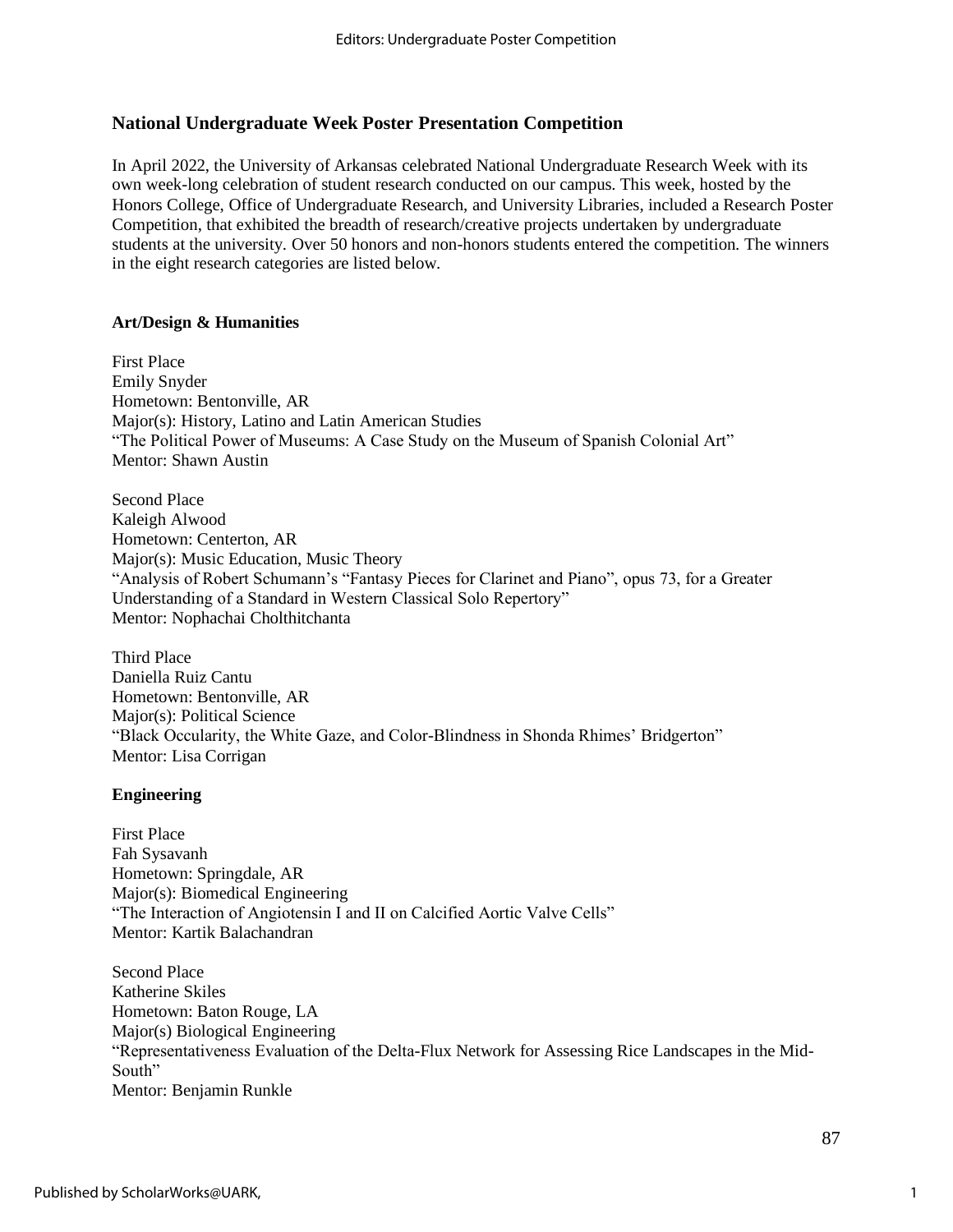## **National Undergraduate Week Poster Presentation Competition**

In April 2022, the University of Arkansas celebrated National Undergraduate Research Week with its own week-long celebration of student research conducted on our campus. This week, hosted by the Honors College, Office of Undergraduate Research, and University Libraries, included a Research Poster Competition, that exhibited the breadth of research/creative projects undertaken by undergraduate students at the university. Over 50 honors and non-honors students entered the competition. The winners in the eight research categories are listed below.

## **Art/Design & Humanities**

First Place Emily Snyder Hometown: Bentonville, AR Major(s): History, Latino and Latin American Studies "The Political Power of Museums: A Case Study on the Museum of Spanish Colonial Art" Mentor: Shawn Austin

Second Place Kaleigh Alwood Hometown: Centerton, AR Major(s): Music Education, Music Theory "Analysis of Robert Schumann's "Fantasy Pieces for Clarinet and Piano", opus 73, for a Greater Understanding of a Standard in Western Classical Solo Repertory" Mentor: Nophachai Cholthitchanta

Third Place Daniella Ruiz Cantu Hometown: Bentonville, AR Major(s): Political Science "Black Occularity, the White Gaze, and Color-Blindness in Shonda Rhimes' Bridgerton" Mentor: Lisa Corrigan

## **Engineering**

First Place Fah Sysavanh Hometown: Springdale, AR Major(s): Biomedical Engineering "The Interaction of Angiotensin I and II on Calcified Aortic Valve Cells" Mentor: Kartik Balachandran

Second Place Katherine Skiles Hometown: Baton Rouge, LA Major(s) Biological Engineering "Representativeness Evaluation of the Delta-Flux Network for Assessing Rice Landscapes in the Mid-South" Mentor: Benjamin Runkle

1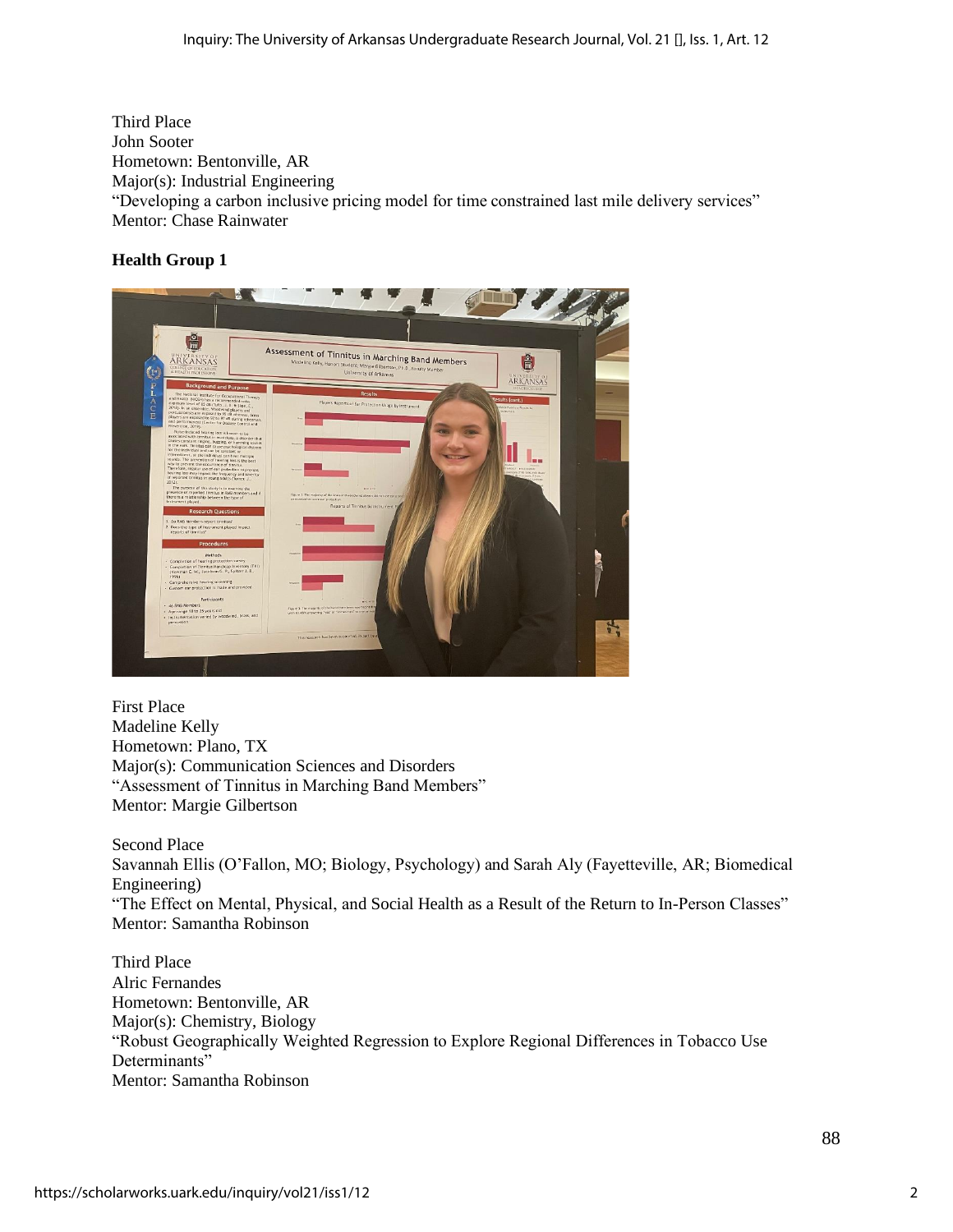Third Place John Sooter Hometown: Bentonville, AR Major(s): Industrial Engineering "Developing a carbon inclusive pricing model for time constrained last mile delivery services" Mentor: Chase Rainwater

## **Health Group 1**



First Place Madeline Kelly Hometown: Plano, TX Major(s): Communication Sciences and Disorders "Assessment of Tinnitus in Marching Band Members" Mentor: Margie Gilbertson

Second Place Savannah Ellis (O'Fallon, MO; Biology, Psychology) and Sarah Aly (Fayetteville, AR; Biomedical Engineering) "The Effect on Mental, Physical, and Social Health as a Result of the Return to In-Person Classes" Mentor: Samantha Robinson

Third Place Alric Fernandes Hometown: Bentonville, AR Major(s): Chemistry, Biology "Robust Geographically Weighted Regression to Explore Regional Differences in Tobacco Use Determinants" Mentor: Samantha Robinson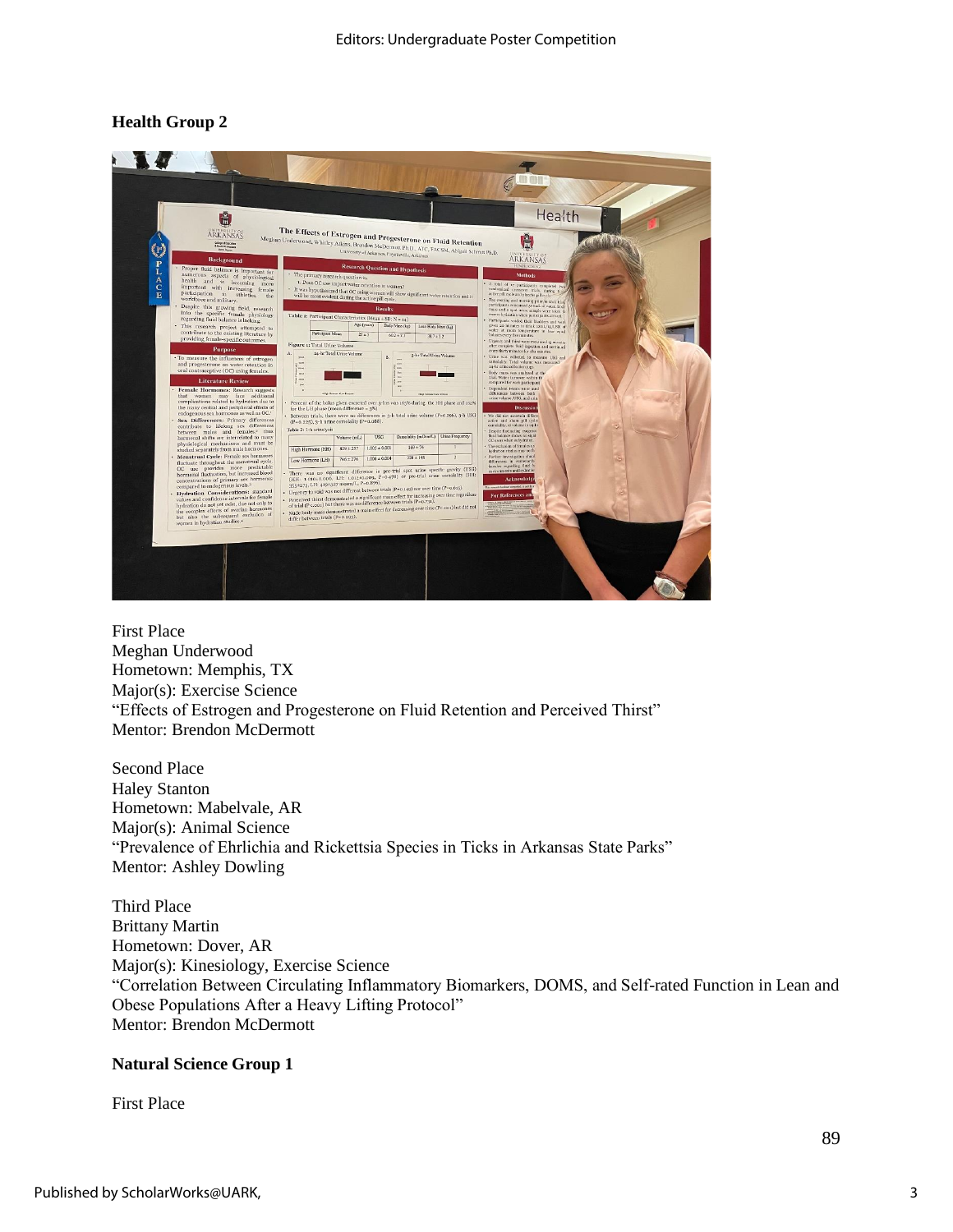## **Health Group 2**



First Place Meghan Underwood Hometown: Memphis, TX Major(s): Exercise Science "Effects of Estrogen and Progesterone on Fluid Retention and Perceived Thirst" Mentor: Brendon McDermott

Second Place Haley Stanton Hometown: Mabelvale, AR Major(s): Animal Science "Prevalence of Ehrlichia and Rickettsia Species in Ticks in Arkansas State Parks" Mentor: Ashley Dowling

Third Place Brittany Martin Hometown: Dover, AR Major(s): Kinesiology, Exercise Science "Correlation Between Circulating Inflammatory Biomarkers, DOMS, and Self-rated Function in Lean and Obese Populations After a Heavy Lifting Protocol" Mentor: Brendon McDermott

#### **Natural Science Group 1**

First Place

3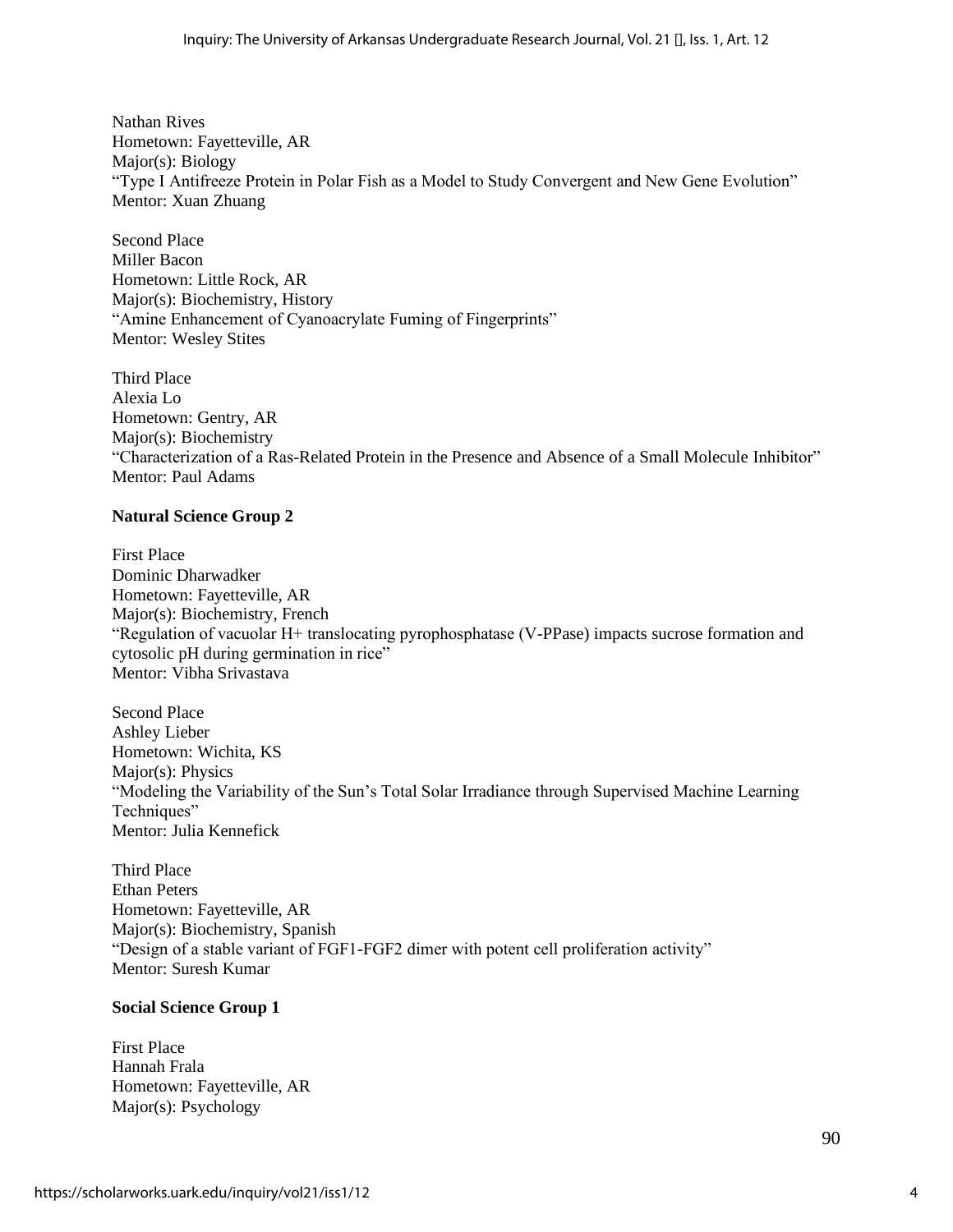Nathan Rives Hometown: Fayetteville, AR Major(s): Biology "Type I Antifreeze Protein in Polar Fish as a Model to Study Convergent and New Gene Evolution" Mentor: Xuan Zhuang

Second Place Miller Bacon Hometown: Little Rock, AR Major(s): Biochemistry, History "Amine Enhancement of Cyanoacrylate Fuming of Fingerprints" Mentor: Wesley Stites

Third Place Alexia Lo Hometown: Gentry, AR Major(s): Biochemistry "Characterization of a Ras-Related Protein in the Presence and Absence of a Small Molecule Inhibitor" Mentor: Paul Adams

## **Natural Science Group 2**

First Place Dominic Dharwadker Hometown: Fayetteville, AR Major(s): Biochemistry, French "Regulation of vacuolar H+ translocating pyrophosphatase (V-PPase) impacts sucrose formation and cytosolic pH during germination in rice" Mentor: Vibha Srivastava

Second Place Ashley Lieber Hometown: Wichita, KS Major(s): Physics "Modeling the Variability of the Sun's Total Solar Irradiance through Supervised Machine Learning Techniques" Mentor: Julia Kennefick

Third Place Ethan Peters Hometown: Fayetteville, AR Major(s): Biochemistry, Spanish "Design of a stable variant of FGF1-FGF2 dimer with potent cell proliferation activity" Mentor: Suresh Kumar

## **Social Science Group 1**

First Place Hannah Frala Hometown: Fayetteville, AR Major(s): Psychology